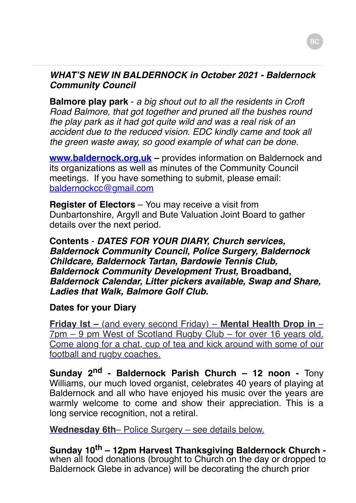## *WHAT'S NEW IN BALDERNOCK in October 2021 - Baldernock Community Council*

**Balmore play park** - *a big shout out to all the residents in Croft Road Balmore, that got together and pruned all the bushes round the play park as it had got quite wild and was a real risk of an accident due to the reduced vision. EDC kindly came and took all the green waste away, so good example of what can be done.*

**www.baldernock.org.uk** – provides information on Baldernock and its organizations as well as minutes of the Community Council meetings. If you have something to submit, please email: [baldernockcc@gmail.com](mailto:baldernockcc@gmail.com)

**Register of Electors** – You may receive a visit from Dunbartonshire, Argyll and Bute Valuation Joint Board to gather details over the next period.

**Contents** - *DATES FOR YOUR DIARY, Church services, Baldernock Community Council, Police Surgery, Baldernock Childcare, Baldernock Tartan, Bardowie Tennis Club, Baldernock Community Development Trust,* **Broadband,** *Baldernock Calendar, Litter pickers available, Swap and Share, Ladies that Walk, Balmore Golf Club.*

## **Dates for your Diary**

**Friday lst –** (and every second Friday) – **Mental Health Drop in** – 7pm – 9 pm West of Scotland Rugby Club – for over 16 years old. Come along for a chat, cup of tea and kick around with some of our football and rugby coaches.

Sunday 2<sup>nd</sup> - Baldernock Parish Church – 12 noon - Tony Williams, our much loved organist, celebrates 40 years of playing at Baldernock and all who have enjoyed his music over the years are warmly welcome to come and show their appreciation. This is a long service recognition, not a retiral.

**Wednesday 6th**– Police Surgery – see details below.

**Sunday 10th – 12pm Harvest Thanksgiving Baldernock Church**  when all food donations (brought to Church on the day or dropped to Baldernock Glebe in advance) will be decorating the church prior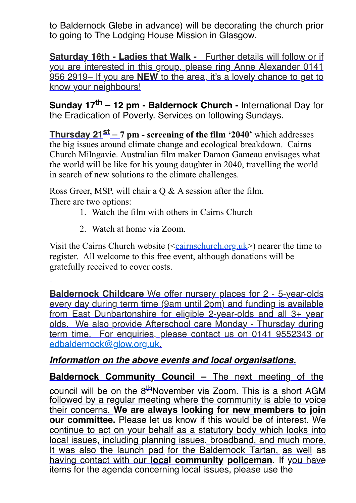to Baldernock Glebe in advance) will be decorating the church prior to going to The Lodging House Mission in Glasgow.

**Saturday 16th - Ladies that Walk -** Further details will follow or if you are interested in this group, please ring Anne Alexander 0141 956 2919– If you are **NEW** to the area, it's a lovely chance to get to know your neighbours!

**Sunday 17th – 12 pm - Baldernock Church -** International Day for the Eradication of Poverty. Services on following Sundays.

**Thursday 21st** – **7 pm - screening of the film '2040'** which addresses the big issues around climate change and ecological breakdown. Cairns Church Milngavie. Australian film maker Damon Gameau envisages what the world will be like for his young daughter in 2040, travelling the world in search of new solutions to the climate challenges.

Ross Greer, MSP, will chair a Q & A session after the film. There are two options:

- 1. Watch the film with others in Cairns Church
- 2. Watch at home via Zoom.

Visit the Cairns Church website ( $\leq$ [cairnschurch.org.uk](http://cairnschurch.org.uk/) $>$ ) nearer the time to register. All welcome to this free event, although donations will be gratefully received to cover costs.

**Baldernock Childcare** We offer nursery places for 2 - 5-year-olds every day during term time (9am until 2pm) and funding is available from East Dunbartonshire for eligible 2-year-olds and all 3+ year olds. We also provide Afterschool care Monday - Thursday during term time. For enquiries, please contact us on 0141 9552343 or [edbaldernock@glow.org.uk](mailto:edbaldernock@glow.org.uk).

## *Information on the above events and local organisations.*

**Baldernock Community Council –** The next meeting of the council will be on the 8<sup>th</sup>November via Zoom. This is a short AGM followed by a regular meeting where the community is able to voice their concerns. **We are always looking for new members to join our committee.** Please let us know if this would be of interest. We continue to act on your behalf as a statutory body which looks into local issues, including planning issues, broadband, and much more. It was also the launch pad for the Baldernock Tartan, as well as having contact with our **local community policeman**. If you have items for the agenda concerning local issues, please use the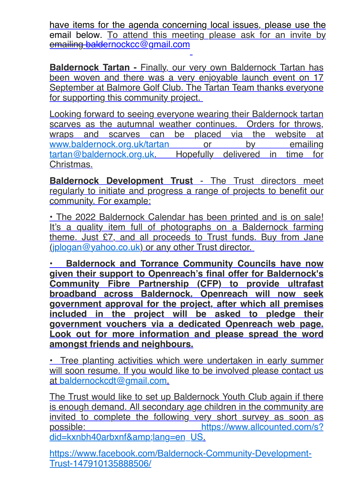have items for the agenda concerning local issues, please use the email below. To attend this meeting please ask for an invite by emailing [baldernockcc@gmail.com](mailto:baldernockcc@gmail.com) 

**Baldernock Tartan - Finally, our very own Baldernock Tartan has** been woven and there was a very enjoyable launch event on 17 September at Balmore Golf Club. The Tartan Team thanks everyone for supporting this community project.

Looking forward to seeing everyone wearing their Baldernock tartan scarves as the autumnal weather continues. Orders for throws, wraps and scarves can be placed via the website at [www.baldernock.org.uk/tartan](http://www.baldernock.org.uk/tartan) or by emailing [tartan@baldernock.org.uk.](mailto:tartan@baldernock.org.uk) Hopefully delivered in time for Christmas.

**Baldernock Development Trust** - The Trust directors meet regularly to initiate and progress a range of projects to benefit our community. For example:

• The 2022 Baldernock Calendar has been printed and is on sale! It's a quality item full of photographs on a Baldernock farming theme. Just £7, and all proceeds to Trust funds. Buy from Jane ([jplogan@yahoo.co.uk](mailto:jplogan@yahoo.co.uk)) or any other Trust director.

**• Baldernock and Torrance Community Councils have now given their support to Openreach's final offer for Baldernock's Community Fibre Partnership (CFP) to provide ultrafast broadband across Baldernock. Openreach will now seek government approval for the project, after which all premises included in the project will be asked to pledge their government vouchers via a dedicated Openreach web page. Look out for more information and please spread the word amongst friends and neighbours.**

• Tree planting activities which were undertaken in early summer will soon resume. If you would like to be involved please contact us at [baldernockcdt@gmail.com](mailto:baldernockcdt@gmail.com).

The Trust would like to set up Baldernock Youth Club again if there is enough demand. All secondary age children in the community are invited to complete the following very short survey as soon as [possible: https://www.allcounted.com/s?](https://www.allcounted.com/s?did=kxnbh40arbxnf&lang=en_US) did=kxnbh40arbxnf&lang=en\_US.

[https://www.facebook.com/Baldernock-Community-Development-](https://www.facebook.com/Baldernock-Community-Development-Trust-147910135888506/)Trust-147910135888506/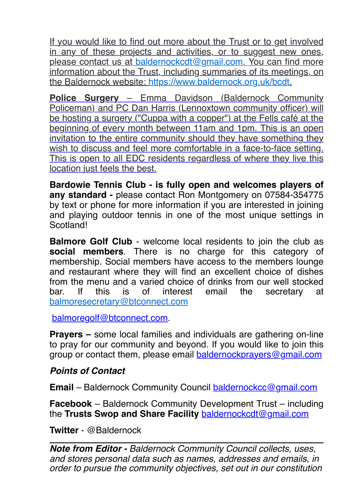If you would like to find out more about the Trust or to get involved in any of these projects and activities, or to suggest new ones, please contact us at [baldernockcdt@gmail.com](mailto:baldernockcdt@gmail.com). You can find more information about the Trust, including summaries of its meetings, on the Baldernock website:<https://www.baldernock.org.uk/bcdt>.

**Police Surgery** – Emma Davidson (Baldernock Community Policeman) and PC Dan Harris (Lennoxtown community officer) will be hosting a surgery ("Cuppa with a copper") at the Fells café at the beginning of every month between 11am and 1pm. This is an open invitation to the entire community should they have something they wish to discuss and feel more comfortable in a face-to-face setting. This is open to all EDC residents regardless of where they live this location just feels the best.

**Bardowie Tennis Club - is fully open and welcomes players of any standard -** please contact Ron Montgomery on 07584-354775 by text or phone for more information if you are interested in joining and playing outdoor tennis in one of the most unique settings in Scotland!

**Balmore Golf Club** - welcome local residents to join the club as **social members**. There is no charge for this category of membership. Social members have access to the members lounge and restaurant where they will find an excellent choice of dishes from the menu and a varied choice of drinks from our well stocked bar. If this is of interest email the secretary at [balmoresecretary@btconnect.com](mailto:balmoresecretary@btconnect.com)

[balmoregolf@btconnect.com.](mailto:balmoregolf@btconnect.com)

**Prayers –** some local families and individuals are gathering on-line to pray for our community and beyond. If you would like to join this group or contact them, please email [baldernockprayers@gmail.com](mailto:baldernockprayers@gmail.com)

## *Points of Contact*

**Email** – Baldernock Community Council [baldernockcc@gmail.com](mailto:baldernockcc@gmail.com)

**Facebook** – Baldernock Community Development Trust – including the **Trusts Swop and Share Facility** [baldernockcdt@gmail.com](mailto:baldernockcdt@gmail.com)

**Twitter** - @Baldernock

*Note from Editor - Baldernock Community Council collects, uses, and stores personal data such as names, addresses and emails, in order to pursue the community objectives, set out in our constitution*